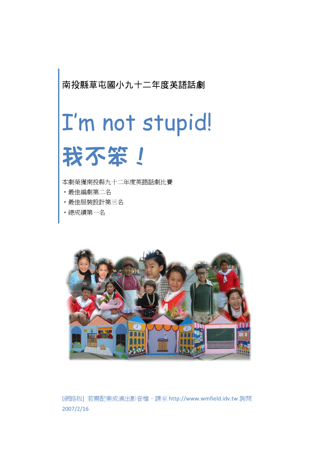南投縣草屯國小九十二年度英語話劇

# I'm not stupid! 我不笨!

本劇榮獲南投縣九十二年度英語話劇比賽

- ‧最佳編劇第二名
- ‧最佳服裝設計第三名
- ‧總成績第一名



[網路版] 若需配樂或演出影音檔,請至 http://www.wmfield.idv.tw 詢問 2007/2/16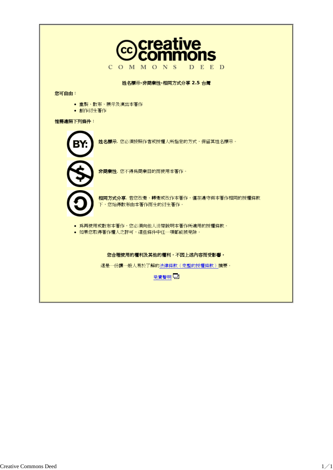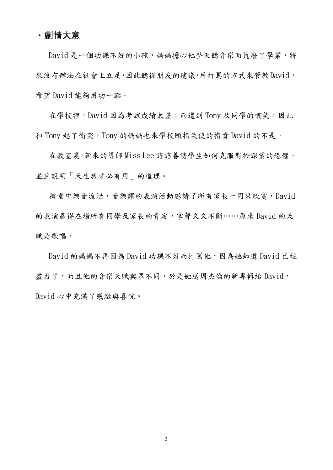#### ‧劇情大意

David 是一個功課不好的小孩,媽媽擔心他整天聽音樂而荒廢了學業,將 來沒有辦法在社會上立足,因此聽從朋友的建議,用打罵的方式來管教David, 希望 David 能夠用功一點。

在學校裡,David 因為考試成績太差,而遭到 Tony 及同學的嘲笑,因此 和 Tony 起了衝突,Tony 的媽媽也來學校頤指氣使的指責 David 的不是。

在教室裏,新來的導師 Miss Lee 諄諄善誘學生如何克服對於課業的恐懼, 並且說明「天生我才必有用」的道理。

禮堂中樂音流泄,音樂課的表演活動邀請了所有家長一同來欣賞,David 的表演贏得在場所有同學及家長的肯定,掌聲久久不斷……原來 David 的天 賦是歌唱。

David 的媽媽不再因為 David 功課不好而打罵他,因為她知道 David 已經 盡力了,而且他的音樂天賦與眾不同,於是她送周杰倫的新專輯給 David, David 心中充滿了感激與喜悅。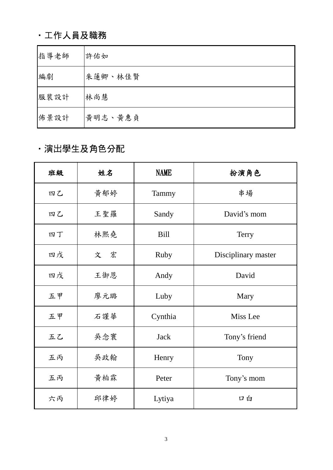# ‧工作人員及職務

| 指導老師 | 許佑如     |
|------|---------|
| 編劇   | 朱蓮卿、林佳賢 |
| 服裝設計 | 林尚慧     |
| 佈景設計 | 黃明志、黃惠貞 |

# ‧演出學生及角色分配

| 班級 | 姓名  | <b>NAME</b> | 扮演角色                |
|----|-----|-------------|---------------------|
| 四乙 | 黃郁婷 | Tammy       | 串場                  |
| 四乙 | 王聖羅 | Sandy       | David's mom         |
| 四丁 | 林熙堯 | <b>Bill</b> | <b>Terry</b>        |
| 四戊 | 文 宏 | <b>Ruby</b> | Disciplinary master |
| 四戊 | 王御恩 | Andy        | David               |
| 五甲 | 廖元璐 | Luby        | Mary                |
| 五甲 | 石謹華 | Cynthia     | Miss Lee            |
| 五乙 | 吳念寰 | <b>Jack</b> | Tony's friend       |
| 五丙 | 吳政翰 | Henry       | Tony                |
| 五丙 | 黃柏霖 | Peter       | Tony's mom          |
| 六丙 | 邱律婷 | Lytiya      | 口白                  |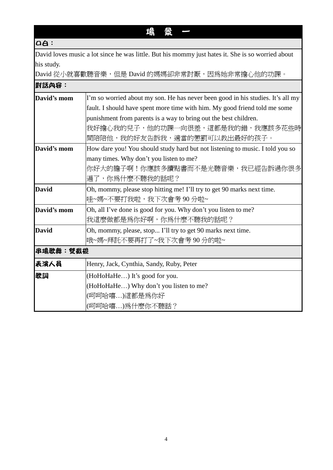## 場 景 一

## $a$ :

David loves music a lot since he was little. But his mommy just hates it. She is so worried about his study.

David 從小就喜歡聽音樂,但是 David 的媽媽卻非常討厭,因為她非常擔心他的功課。

| 對話內容:        |                                                                                 |
|--------------|---------------------------------------------------------------------------------|
| David's mom  | I'm so worried about my son. He has never been good in his studies. It's all my |
|              | fault. I should have spent more time with him. My good friend told me some      |
|              | punishment from parents is a way to bring out the best children.                |
|              | 我好擔心我的兒子,他的功課一向很差,這都是我的錯,我應該多花些時                                                |
|              | 間陪陪他,我的好友告訴我,適當的懲罰可以教出最好的孩子。                                                    |
| David's mom  | How dare you! You should study hard but not listening to music. I told you so   |
|              | many times. Why don't you listen to me?                                         |
|              | 你好大的膽子啊!你應該多讀點書而不是光聽音樂,我已經告訴過你很多                                                |
|              | 遍了,你爲什麼不聽我的話呢?                                                                  |
| <b>David</b> | Oh, mommy, please stop hitting me! I'll try to get 90 marks next time.          |
|              | 哇~媽~不要打我啦,我下次會考90分啦~                                                            |
| David's mom  | Oh, all I've done is good for you. Why don't you listen to me?                  |
|              | 我這麼做都是爲你好啊,你爲什麼不聽我的話呢?                                                          |
| <b>David</b> | Oh, mommy, please, stop I'll try to get 90 marks next time.                     |
|              | 哦~媽~拜託不要再打了~我下次會考90分的啦~                                                         |
| 串場歌舞:雙截棍     |                                                                                 |
| 表演人員         | Henry, Jack, Cynthia, Sandy, Ruby, Peter                                        |
| 歌詞           | (HoHoHaHe) It's good for you.                                                   |
|              | (HoHoHaHe) Why don't you listen to me?                                          |
|              | (呵呵哈嘻)這都是爲你好                                                                    |
|              | (呵呵哈嘻)為什麼你不聽話?                                                                  |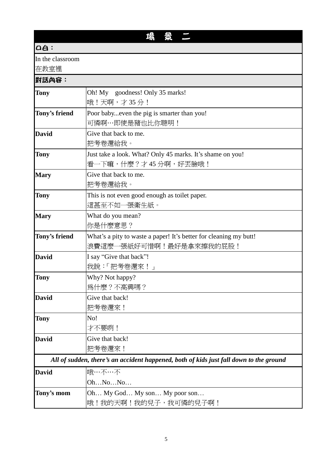## $a \triangleq$

In the classroom

在教室裡

## 對話內容:

| е1аарч <del>а</del> • |                                                                                        |
|-----------------------|----------------------------------------------------------------------------------------|
| <b>Tony</b>           | Oh! My goodness! Only 35 marks!                                                        |
|                       | 哦!天啊,才35分!                                                                             |
| Tony's friend         | Poor babyeven the pig is smarter than you!                                             |
|                       | 可憐啊…即使是豬也比你聰明!                                                                         |
| <b>David</b>          | Give that back to me.                                                                  |
|                       | 把考卷還給我。                                                                                |
| <b>Tony</b>           | Just take a look. What? Only 45 marks. It's shame on you!                              |
|                       | 看一下嘛,什麼?才 45 分啊,好丟臉哦!                                                                  |
| <b>Mary</b>           | Give that back to me.                                                                  |
|                       | 把考卷還給我。                                                                                |
| <b>Tony</b>           | This is not even good enough as toilet paper.                                          |
|                       | 這甚至不如一張衛生紙。                                                                            |
| <b>Mary</b>           | What do you mean?                                                                      |
|                       | 你是什麼意思?                                                                                |
| Tony's friend         | What's a pity to waste a paper! It's better for cleaning my butt!                      |
|                       | 浪費這麼一張紙好可惜啊!最好是拿來擦我的屁股!                                                                |
| <b>David</b>          | I say "Give that back"!                                                                |
|                       | 我說:「把考卷還來!」                                                                            |
| Tony                  | Why? Not happy?                                                                        |
|                       | 爲什麼?不高興嗎?                                                                              |
| <b>David</b>          | Give that back!                                                                        |
|                       | 把考卷還來!                                                                                 |
| Tony                  | No!                                                                                    |
|                       | 才不要咧!                                                                                  |
| <b>David</b>          | Give that back!                                                                        |
|                       | 把考卷還來!                                                                                 |
|                       | All of sudden, there's an accident happened, both of kids just fall down to the ground |
| <b>David</b>          | 哦…不…不                                                                                  |
|                       | OhNoNo                                                                                 |
| Tony's mom            | Oh My God My son My poor son                                                           |
|                       | 哦!我的天啊!我的兒子,我可憐的兒子啊!                                                                   |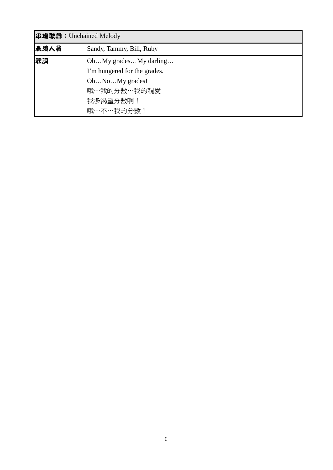| 串場歌舞: Unchained Melody |                              |  |
|------------------------|------------------------------|--|
| 表演人員                   | Sandy, Tammy, Bill, Ruby     |  |
| 歌詞                     | OhMy gradesMy darling        |  |
|                        | I'm hungered for the grades. |  |
|                        | OhNoMy grades!               |  |
|                        | 哦…我的分數…我的親愛                  |  |
|                        | 我多渴望分數啊!                     |  |
|                        | 哦…不…我的分數!                    |  |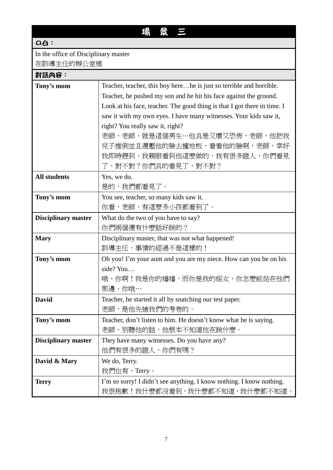# 場 景 三

## aa:

## In the office of Disciplinary master

在訓導主任的辦公室裡

## 對話內容:

| Tony's mom                 | Teacher, teacher, this boy herehe is just so terrible and horrible.      |
|----------------------------|--------------------------------------------------------------------------|
|                            | Teacher, he pushed my son and he hit his face against the ground.        |
|                            | Look at his face, teacher. The good thing is that I got there in time. I |
|                            | saw it with my own eyes. I have many witnesses. Your kids saw it,        |
|                            | right? You really saw it, right?                                         |
|                            | 老師,老師,就是這個男生…他真是又壞又恐怖,老師,他把我                                             |
|                            | 兒子推倒並且還壓他的臉去撞地板,看看他的臉啊,老師,幸好                                             |
|                            | 我即時趕到,我親眼看到他這麼做的,我有很多證人,你們看見                                             |
|                            | 了,對不對?你們真的看見了,對不對?                                                       |
| <b>All students</b>        | Yes, we do.                                                              |
|                            | 是的,我們都看見了。                                                               |
| Tony's mom                 | You see, teacher, so many kids saw it.                                   |
|                            | 你看,老師,有這麼多小孩都看到了。                                                        |
| <b>Disciplinary master</b> | What do the two of you have to say?                                      |
|                            | 你們兩個還有什麼話好說的?                                                            |
| <b>Mary</b>                | Disciplinary master, that was not what happened!                         |
|                            | 訓導主任,事情的經過不是這樣的!                                                         |
| Tony's mom                 | Oh you! I'm your aunt and you are my niece. How can you be on his        |
|                            | side? You                                                                |
|                            | 哦,你啊!我是你的嬸嬸,而你是我的姪女,你怎麼能站在他們                                             |
|                            | 那邊,你哦…                                                                   |
| <b>David</b>               | Teacher, he started it all by snatching our test paper.                  |
|                            | 老師,是他先搶我們的考卷的。                                                           |
| Tony's mom                 | Teacher, don't listen to him. He doesn't know what he is saying.         |
|                            | 老師,別聽他的話,他根本不知道他在說什麼。                                                    |
| <b>Disciplinary master</b> | They have many witnesses. Do you have any?                               |
|                            | 他們有很多的證人,你們有嗎?                                                           |
| David & Mary               | We do, Terry.                                                            |
|                            | 我們也有,Terry。                                                              |
| <b>Terry</b>               | I'm so sorry! I didn't see anything. I know nothing. I know nothing.     |
|                            | 我很抱歉!我什麼都沒看到,我什麼都不知道,我什麼都不知道。                                            |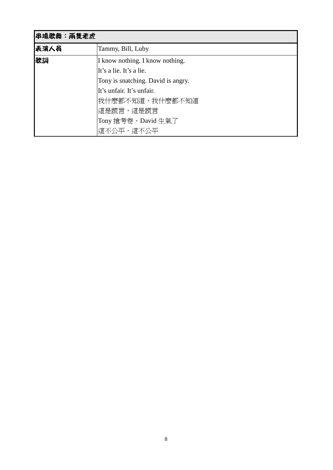| 串場歌舞:兩隻老虎 |                                    |
|-----------|------------------------------------|
| 表演人員      | Tammy, Bill, Luby                  |
| 歌詞        | I know nothing. I know nothing.    |
|           | It's a lie. It's a lie.            |
|           | Tony is snatching. David is angry. |
|           | It's unfair. It's unfair.          |
|           | 我什麼都不知道,我什麼都不知道                    |
|           | 這是謊言,這是謊言                          |
|           | Tony 搶考卷,David 生氣了                 |
|           | 這不公平,這不公平                          |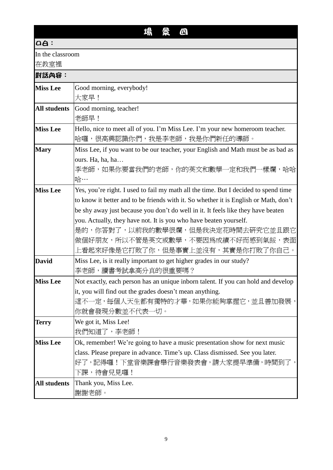# 場 景 四

#### $a$ :

In the classroom

在教室裡

| 對話內容:               |                                                                                      |  |
|---------------------|--------------------------------------------------------------------------------------|--|
| <b>Miss Lee</b>     | Good morning, everybody!                                                             |  |
|                     | 大家早!                                                                                 |  |
| <b>All students</b> | Good morning, teacher!                                                               |  |
|                     | 老師早!                                                                                 |  |
| <b>Miss Lee</b>     | Hello, nice to meet all of you. I'm Miss Lee. I'm your new homeroom teacher.         |  |
|                     | 哈囉,很高興認識你們,我是李老師,我是你們新任的導師。                                                          |  |
| <b>Mary</b>         | Miss Lee, if you want to be our teacher, your English and Math must be as bad as     |  |
|                     | ours. Ha, ha, ha                                                                     |  |
|                     | 李老師,如果你要當我們的老師,你的英文和數學一定和我們一樣爛,哈哈                                                    |  |
|                     | 哈…                                                                                   |  |
| <b>Miss Lee</b>     | Yes, you're right. I used to fail my math all the time. But I decided to spend time  |  |
|                     | to know it better and to be friends with it. So whether it is English or Math, don't |  |
|                     | be shy away just because you don't do well in it. It feels like they have beaten     |  |
|                     | you. Actually, they have not. It is you who have beaten yourself.                    |  |
|                     | 是的,你答對了,以前我的數學很爛,但是我決定花時間去研究它並且跟它                                                    |  |
|                     | 做個好朋友,所以不管是英文或數學,不要因爲成績不好而感到氣餒,表面                                                    |  |
|                     | 上看起來好像是它打敗了你,但是事實上並沒有,其實是你打敗了你自己。                                                    |  |
| <b>David</b>        | Miss Lee, is it really important to get higher grades in our study?                  |  |
|                     | 李老師,讀書考試拿高分真的很重要嗎?                                                                   |  |
| <b>Miss Lee</b>     | Not exactly, each person has an unique inborn talent. If you can hold and develop    |  |
|                     | it, you will find out the grades doesn't mean anything.                              |  |
|                     | 這不一定,每個人天生都有獨特的才華,如果你能夠掌握它,並且善加發展,                                                   |  |
|                     | 你就會發現分數並不代表一切。                                                                       |  |
| <b>Terry</b>        | We got it, Miss Lee!                                                                 |  |
|                     | 我們知道了,李老師!                                                                           |  |
| <b>Miss Lee</b>     | Ok, remember! We're going to have a music presentation show for next music           |  |
|                     | class. Please prepare in advance. Time's up. Class dismissed. See you later.         |  |
|                     | 好了,記得囉!下堂音樂課會舉行音樂發表會,請大家提早準備,時間到了,<br>下課,待會兒見囉!                                      |  |
| <b>All students</b> |                                                                                      |  |
|                     | Thank you, Miss Lee.                                                                 |  |
|                     | 謝謝老師。                                                                                |  |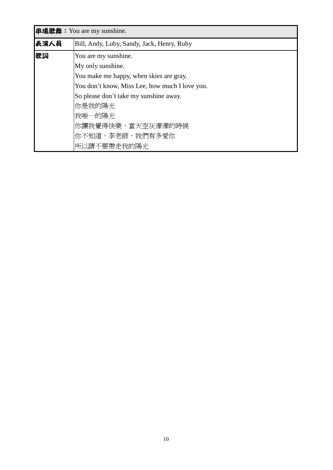| <b>串場歌舞: You are my sunshine.</b> |                                                |  |
|-----------------------------------|------------------------------------------------|--|
| 表演人員                              | Bill, Andy, Luby, Sandy, Jack, Henry, Ruby     |  |
| 歌詞<br>You are my sunshine.        |                                                |  |
|                                   | My only sunshine.                              |  |
|                                   | You make me happy, when skies are gray.        |  |
|                                   | You don't know, Miss Lee, how much I love you. |  |
|                                   | So please don't take my sunshine away.         |  |
|                                   | 你是我的陽光                                         |  |
|                                   | 我唯一的陽光                                         |  |
|                                   | 你讓我覺得快樂,當天空灰濛濛的時候                              |  |
|                                   | 你不知道,李老師,我們有多愛你                                |  |
|                                   | 所以請不要帶走我的陽光                                    |  |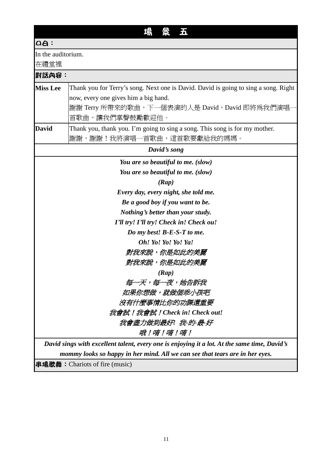# 場 景 五

 $a$ :

In the auditorium.

在禮堂裡

| 山地立土土           |                                                                                              |  |
|-----------------|----------------------------------------------------------------------------------------------|--|
| 對話內容:           |                                                                                              |  |
| <b>Miss Lee</b> | Thank you for Terry's song. Next one is David. David is going to sing a song. Right          |  |
|                 | now, every one gives him a big hand.                                                         |  |
|                 | 謝謝 Terry 所帶來的歌曲,下一個表演的人是 David,David 即將爲我們演唱·                                                |  |
|                 | 首歌曲,讓我們掌聲鼓勵歡迎他。                                                                              |  |
| <b>David</b>    | Thank you, thank you. I'm going to sing a song. This song is for my mother.                  |  |
|                 | 謝謝,謝謝!我將演唱一首歌曲,這首歌要獻給我的媽媽。                                                                   |  |
|                 | David's song                                                                                 |  |
|                 | You are so beautiful to me. (slow)                                                           |  |
|                 | You are so beautiful to me. (slow)                                                           |  |
|                 | (Rap)                                                                                        |  |
|                 | Every day, every night, she told me.                                                         |  |
|                 | Be a good boy if you want to be.                                                             |  |
|                 | Nothing's better than your study.                                                            |  |
|                 | I'll try! I'll try! Check in! Check ou!                                                      |  |
|                 | Do my best! B-E-S-T to me.                                                                   |  |
|                 | Oh! Yo! Yo! Yo! Ya!                                                                          |  |
|                 | 對我來說,你是如此的美麗                                                                                 |  |
|                 | 對我來說,你是如此的美麗                                                                                 |  |
|                 | (Rap)                                                                                        |  |
|                 | 每一天,每一夜,她告訴我                                                                                 |  |
|                 | 如果你想做,就做個乖小孩吧                                                                                |  |
|                 | 沒有什麼事情比你的功課還重要                                                                               |  |
|                 | 我會試!我會試!Check in! Check out!                                                                 |  |
|                 | 我會盡力做到最好! 我-的-最-好                                                                            |  |
|                 | 哦!唷!唷!唷!                                                                                     |  |
|                 | David sings with excellent talent, every one is enjoying it a lot. At the same time, David's |  |
|                 | mommy looks so happy in her mind. All we can see that tears are in her eyes.                 |  |

串場歌舞:Chariots of fire (music)